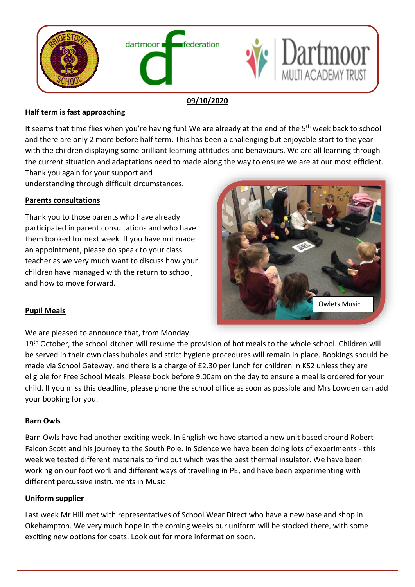

#### **09/10/2020**

# **Half term is fast approaching**

It seems that time flies when you're having fun! We are already at the end of the 5<sup>th</sup> week back to school and there are only 2 more before half term. This has been a challenging but enjoyable start to the year with the children displaying some brilliant learning attitudes and behaviours. We are all learning through the current situation and adaptations need to made along the way to ensure we are at our most efficient. Thank you again for your support and

understanding through difficult circumstances.

### **Parents consultations**

Thank you to those parents who have already participated in parent consultations and who have them booked for next week. If you have not made an appointment, please do speak to your class teacher as we very much want to discuss how your children have managed with the return to school, and how to move forward.



### **Pupil Meals**

We are pleased to announce that, from Monday

19<sup>th</sup> October, the school kitchen will resume the provision of hot meals to the whole school. Children will be served in their own class bubbles and strict hygiene procedures will remain in place. Bookings should be made via School Gateway, and there is a charge of £2.30 per lunch for children in KS2 unless they are eligible for Free School Meals. Please book before 9.00am on the day to ensure a meal is ordered for your child. If you miss this deadline, please phone the school office as soon as possible and Mrs Lowden can add your booking for you.

### **Barn Owls**

Barn Owls have had another exciting week. In English we have started a new unit based around Robert Falcon Scott and his journey to the South Pole. In Science we have been doing lots of experiments - this week we tested different materials to find out which was the best thermal insulator. We have been working on our foot work and different ways of travelling in PE, and have been experimenting with different percussive instruments in Music

### **Uniform supplier**

Last week Mr Hill met with representatives of School Wear Direct who have a new base and shop in Okehampton. We very much hope in the coming weeks our uniform will be stocked there, with some exciting new options for coats. Look out for more information soon.